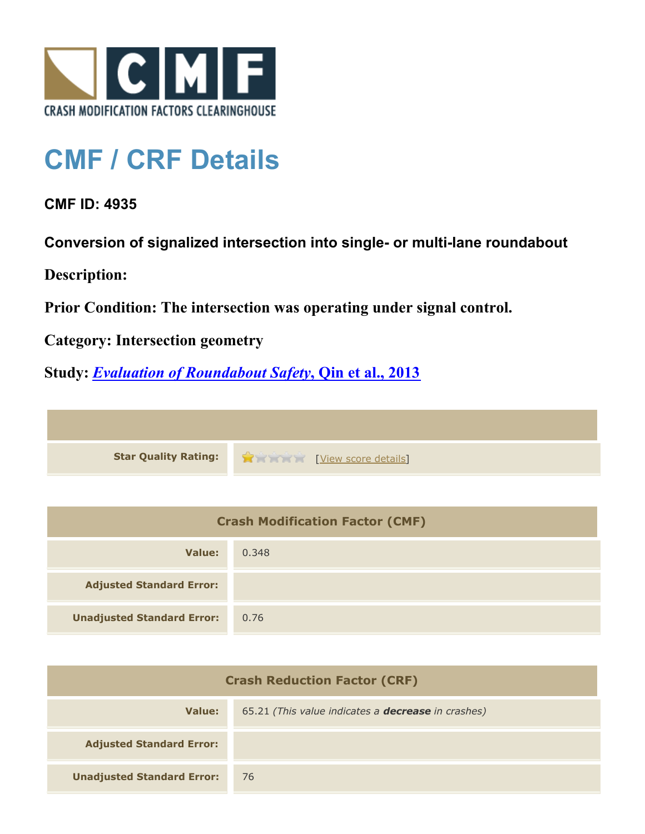

## **CMF / CRF Details**

## **CMF ID: 4935**

**Conversion of signalized intersection into single- or multi-lane roundabout**

**Description:** 

**Prior Condition: The intersection was operating under signal control.**

**Category: Intersection geometry**

**Study:** *[Evaluation of Roundabout Safety](http://www.cmfclearinghouse.org/study_detail.cfm?stid=317)***[, Qin et al., 2013](http://www.cmfclearinghouse.org/study_detail.cfm?stid=317)**



| <b>Crash Modification Factor (CMF)</b> |       |
|----------------------------------------|-------|
| Value:                                 | 0.348 |
| <b>Adjusted Standard Error:</b>        |       |
| <b>Unadjusted Standard Error:</b>      | 0.76  |

| <b>Crash Reduction Factor (CRF)</b> |                                                           |
|-------------------------------------|-----------------------------------------------------------|
| Value:                              | 65.21 (This value indicates a <b>decrease</b> in crashes) |
| <b>Adjusted Standard Error:</b>     |                                                           |
| <b>Unadjusted Standard Error:</b>   | 76                                                        |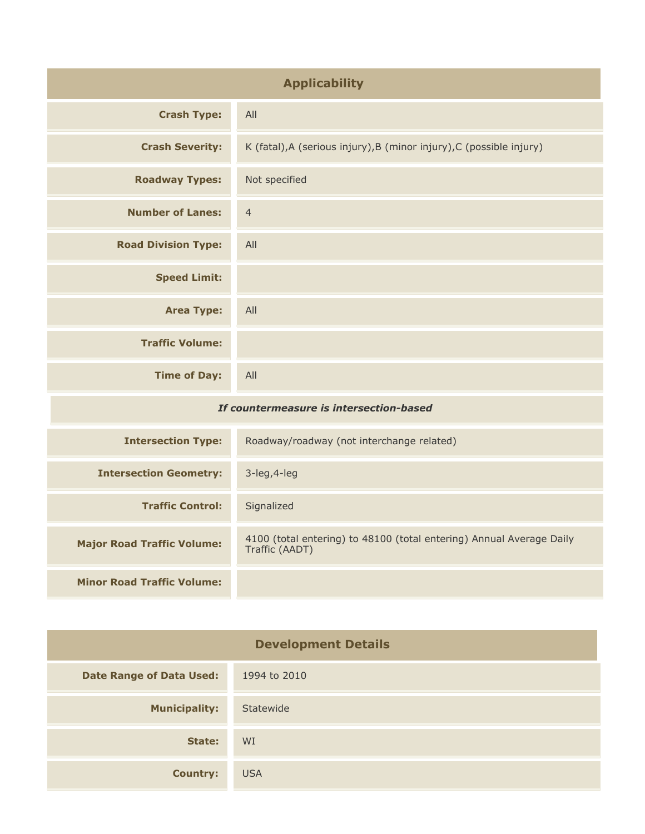| <b>Applicability</b>                    |                                                                      |
|-----------------------------------------|----------------------------------------------------------------------|
| <b>Crash Type:</b>                      | All                                                                  |
| <b>Crash Severity:</b>                  | K (fatal), A (serious injury), B (minor injury), C (possible injury) |
| <b>Roadway Types:</b>                   | Not specified                                                        |
| <b>Number of Lanes:</b>                 | $\overline{4}$                                                       |
| <b>Road Division Type:</b>              | All                                                                  |
| <b>Speed Limit:</b>                     |                                                                      |
| <b>Area Type:</b>                       | All                                                                  |
| <b>Traffic Volume:</b>                  |                                                                      |
| <b>Time of Day:</b>                     | All                                                                  |
| If countermeasure is intersection-based |                                                                      |

| <b>Intersection Type:</b>         | Roadway/roadway (not interchange related)                                              |
|-----------------------------------|----------------------------------------------------------------------------------------|
| <b>Intersection Geometry:</b>     | 3-leg, 4-leg                                                                           |
| <b>Traffic Control:</b>           | Signalized                                                                             |
| <b>Major Road Traffic Volume:</b> | 4100 (total entering) to 48100 (total entering) Annual Average Daily<br>Traffic (AADT) |
| <b>Minor Road Traffic Volume:</b> |                                                                                        |

| <b>Development Details</b>      |              |
|---------------------------------|--------------|
| <b>Date Range of Data Used:</b> | 1994 to 2010 |
| <b>Municipality:</b>            | Statewide    |
| State:                          | WI           |
| <b>Country:</b>                 | <b>USA</b>   |